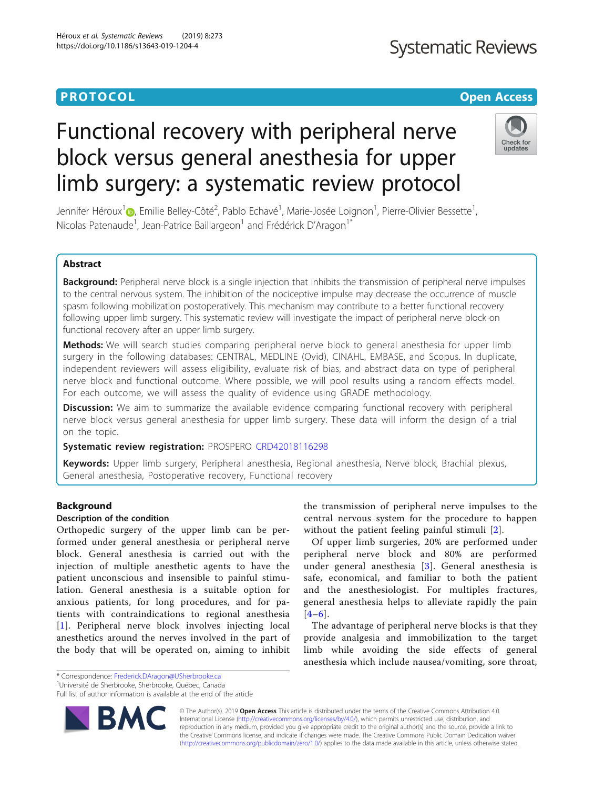# **PROTOCOL CONSUMING THE OPEN ACCESS**

# **Systematic Reviews**

# Functional recovery with peripheral nerve block versus general anesthesia for upper limb surgery: a systematic review protocol



Jennifer Héroux<sup>[1](http://orcid.org/0000-0001-5156-9799)</sup>@, Emilie Belley-Côté<sup>2</sup>, Pablo Echavé<sup>1</sup>, Marie-Josée Loignon<sup>1</sup>, Pierre-Olivier Bessette<sup>1</sup> , Nicolas Patenaude<sup>1</sup>, Jean-Patrice Baillargeon<sup>1</sup> and Frédérick D'Aragon<sup>1\*</sup>

# Abstract

Background: Peripheral nerve block is a single injection that inhibits the transmission of peripheral nerve impulses to the central nervous system. The inhibition of the nociceptive impulse may decrease the occurrence of muscle spasm following mobilization postoperatively. This mechanism may contribute to a better functional recovery following upper limb surgery. This systematic review will investigate the impact of peripheral nerve block on functional recovery after an upper limb surgery.

Methods: We will search studies comparing peripheral nerve block to general anesthesia for upper limb surgery in the following databases: CENTRAL, MEDLINE (Ovid), CINAHL, EMBASE, and Scopus. In duplicate, independent reviewers will assess eligibility, evaluate risk of bias, and abstract data on type of peripheral nerve block and functional outcome. Where possible, we will pool results using a random effects model. For each outcome, we will assess the quality of evidence using GRADE methodology.

**Discussion:** We aim to summarize the available evidence comparing functional recovery with peripheral nerve block versus general anesthesia for upper limb surgery. These data will inform the design of a trial on the topic.

Systematic review registration: PROSPERO [CRD42018116298](https://www.crd.york.ac.uk/PROSPERO/display_record.php?RecordID=116298)

Keywords: Upper limb surgery, Peripheral anesthesia, Regional anesthesia, Nerve block, Brachial plexus, General anesthesia, Postoperative recovery, Functional recovery

# Background

# Description of the condition

Orthopedic surgery of the upper limb can be performed under general anesthesia or peripheral nerve block. General anesthesia is carried out with the injection of multiple anesthetic agents to have the patient unconscious and insensible to painful stimulation. General anesthesia is a suitable option for anxious patients, for long procedures, and for patients with contraindications to regional anesthesia [[1](#page-6-0)]. Peripheral nerve block involves injecting local anesthetics around the nerves involved in the part of the body that will be operated on, aiming to inhibit the transmission of peripheral nerve impulses to the central nervous system for the procedure to happen without the patient feeling painful stimuli [[2\]](#page-6-0).

Of upper limb surgeries, 20% are performed under peripheral nerve block and 80% are performed under general anesthesia [[3](#page-6-0)]. General anesthesia is safe, economical, and familiar to both the patient and the anesthesiologist. For multiples fractures, general anesthesia helps to alleviate rapidly the pain  $[4-6]$  $[4-6]$  $[4-6]$  $[4-6]$ .

The advantage of peripheral nerve blocks is that they provide analgesia and immobilization to the target limb while avoiding the side effects of general anesthesia which include nausea/vomiting, sore throat,

\* Correspondence: [Frederick.DAragon@USherbrooke.ca](mailto:Frederick.DAragon@USherbrooke.ca) <sup>1</sup>

Full list of author information is available at the end of the article



© The Author(s). 2019 **Open Access** This article is distributed under the terms of the Creative Commons Attribution 4.0 International License [\(http://creativecommons.org/licenses/by/4.0/](http://creativecommons.org/licenses/by/4.0/)), which permits unrestricted use, distribution, and reproduction in any medium, provided you give appropriate credit to the original author(s) and the source, provide a link to the Creative Commons license, and indicate if changes were made. The Creative Commons Public Domain Dedication waiver [\(http://creativecommons.org/publicdomain/zero/1.0/](http://creativecommons.org/publicdomain/zero/1.0/)) applies to the data made available in this article, unless otherwise stated.

<sup>&</sup>lt;sup>1</sup>Université de Sherbrooke, Sherbrooke, Québec, Canada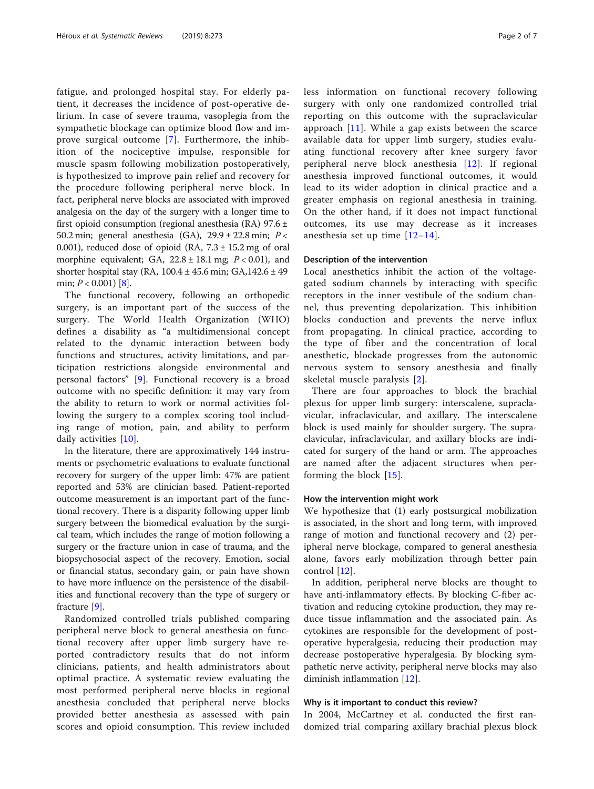fatigue, and prolonged hospital stay. For elderly patient, it decreases the incidence of post-operative delirium. In case of severe trauma, vasoplegia from the sympathetic blockage can optimize blood flow and improve surgical outcome [[7](#page-6-0)]. Furthermore, the inhibition of the nociceptive impulse, responsible for muscle spasm following mobilization postoperatively, is hypothesized to improve pain relief and recovery for the procedure following peripheral nerve block. In fact, peripheral nerve blocks are associated with improved analgesia on the day of the surgery with a longer time to first opioid consumption (regional anesthesia (RA) 97.6 ± 50.2 min; general anesthesia (GA),  $29.9 \pm 22.8$  min;  $P \lt \sqrt{ }$ 0.001), reduced dose of opioid (RA,  $7.3 \pm 15.2$  mg of oral morphine equivalent; GA,  $22.8 \pm 18.1$  mg;  $P < 0.01$ ), and shorter hospital stay (RA, 100.4 ± 45.6 min; GA,142.6 ± 49 min;  $P < 0.001$  [\[8\]](#page-6-0).

The functional recovery, following an orthopedic surgery, is an important part of the success of the surgery. The World Health Organization (WHO) defines a disability as "a multidimensional concept related to the dynamic interaction between body functions and structures, activity limitations, and participation restrictions alongside environmental and personal factors" [[9\]](#page-6-0). Functional recovery is a broad outcome with no specific definition: it may vary from the ability to return to work or normal activities following the surgery to a complex scoring tool including range of motion, pain, and ability to perform daily activities [[10\]](#page-6-0).

In the literature, there are approximatively 144 instruments or psychometric evaluations to evaluate functional recovery for surgery of the upper limb: 47% are patient reported and 53% are clinician based. Patient-reported outcome measurement is an important part of the functional recovery. There is a disparity following upper limb surgery between the biomedical evaluation by the surgical team, which includes the range of motion following a surgery or the fracture union in case of trauma, and the biopsychosocial aspect of the recovery. Emotion, social or financial status, secondary gain, or pain have shown to have more influence on the persistence of the disabilities and functional recovery than the type of surgery or fracture [[9\]](#page-6-0).

Randomized controlled trials published comparing peripheral nerve block to general anesthesia on functional recovery after upper limb surgery have reported contradictory results that do not inform clinicians, patients, and health administrators about optimal practice. A systematic review evaluating the most performed peripheral nerve blocks in regional anesthesia concluded that peripheral nerve blocks provided better anesthesia as assessed with pain scores and opioid consumption. This review included less information on functional recovery following surgery with only one randomized controlled trial reporting on this outcome with the supraclavicular approach  $[11]$ . While a gap exists between the scarce available data for upper limb surgery, studies evaluating functional recovery after knee surgery favor peripheral nerve block anesthesia [\[12\]](#page-6-0). If regional anesthesia improved functional outcomes, it would lead to its wider adoption in clinical practice and a greater emphasis on regional anesthesia in training. On the other hand, if it does not impact functional outcomes, its use may decrease as it increases anesthesia set up time [[12](#page-6-0)–[14\]](#page-6-0).

## Description of the intervention

Local anesthetics inhibit the action of the voltagegated sodium channels by interacting with specific receptors in the inner vestibule of the sodium channel, thus preventing depolarization. This inhibition blocks conduction and prevents the nerve influx from propagating. In clinical practice, according to the type of fiber and the concentration of local anesthetic, blockade progresses from the autonomic nervous system to sensory anesthesia and finally skeletal muscle paralysis [[2\]](#page-6-0).

There are four approaches to block the brachial plexus for upper limb surgery: interscalene, supraclavicular, infraclavicular, and axillary. The interscalene block is used mainly for shoulder surgery. The supraclavicular, infraclavicular, and axillary blocks are indicated for surgery of the hand or arm. The approaches are named after the adjacent structures when performing the block [[15\]](#page-6-0).

#### How the intervention might work

We hypothesize that (1) early postsurgical mobilization is associated, in the short and long term, with improved range of motion and functional recovery and (2) peripheral nerve blockage, compared to general anesthesia alone, favors early mobilization through better pain control [[12\]](#page-6-0).

In addition, peripheral nerve blocks are thought to have anti-inflammatory effects. By blocking C-fiber activation and reducing cytokine production, they may reduce tissue inflammation and the associated pain. As cytokines are responsible for the development of postoperative hyperalgesia, reducing their production may decrease postoperative hyperalgesia. By blocking sympathetic nerve activity, peripheral nerve blocks may also diminish inflammation [[12](#page-6-0)].

# Why is it important to conduct this review?

In 2004, McCartney et al. conducted the first randomized trial comparing axillary brachial plexus block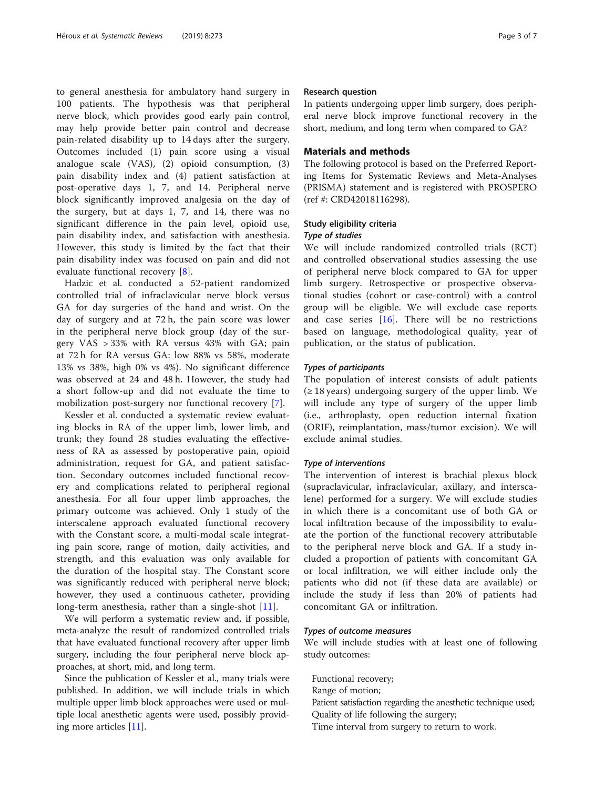to general anesthesia for ambulatory hand surgery in 100 patients. The hypothesis was that peripheral nerve block, which provides good early pain control, may help provide better pain control and decrease pain-related disability up to 14 days after the surgery. Outcomes included (1) pain score using a visual analogue scale (VAS), (2) opioid consumption, (3) pain disability index and (4) patient satisfaction at post-operative days 1, 7, and 14. Peripheral nerve block significantly improved analgesia on the day of the surgery, but at days 1, 7, and 14, there was no significant difference in the pain level, opioid use, pain disability index, and satisfaction with anesthesia. However, this study is limited by the fact that their pain disability index was focused on pain and did not evaluate functional recovery [[8\]](#page-6-0).

Hadzic et al. conducted a 52-patient randomized controlled trial of infraclavicular nerve block versus GA for day surgeries of the hand and wrist. On the day of surgery and at 72 h, the pain score was lower in the peripheral nerve block group (day of the surgery VAS > 33% with RA versus 43% with GA; pain at 72 h for RA versus GA: low 88% vs 58%, moderate 13% vs 38%, high 0% vs 4%). No significant difference was observed at 24 and 48 h. However, the study had a short follow-up and did not evaluate the time to mobilization post-surgery nor functional recovery [\[7](#page-6-0)].

Kessler et al. conducted a systematic review evaluating blocks in RA of the upper limb, lower limb, and trunk; they found 28 studies evaluating the effectiveness of RA as assessed by postoperative pain, opioid administration, request for GA, and patient satisfaction. Secondary outcomes included functional recovery and complications related to peripheral regional anesthesia. For all four upper limb approaches, the primary outcome was achieved. Only 1 study of the interscalene approach evaluated functional recovery with the Constant score, a multi-modal scale integrating pain score, range of motion, daily activities, and strength, and this evaluation was only available for the duration of the hospital stay. The Constant score was significantly reduced with peripheral nerve block; however, they used a continuous catheter, providing long-term anesthesia, rather than a single-shot  $[11]$  $[11]$ .

We will perform a systematic review and, if possible, meta-analyze the result of randomized controlled trials that have evaluated functional recovery after upper limb surgery, including the four peripheral nerve block approaches, at short, mid, and long term.

Since the publication of Kessler et al., many trials were published. In addition, we will include trials in which multiple upper limb block approaches were used or multiple local anesthetic agents were used, possibly providing more articles [[11\]](#page-6-0).

# Research question

In patients undergoing upper limb surgery, does peripheral nerve block improve functional recovery in the short, medium, and long term when compared to GA?

# Materials and methods

The following protocol is based on the Preferred Reporting Items for Systematic Reviews and Meta-Analyses (PRISMA) statement and is registered with PROSPERO (ref #: CRD42018116298).

# Study eligibility criteria

#### Type of studies

We will include randomized controlled trials (RCT) and controlled observational studies assessing the use of peripheral nerve block compared to GA for upper limb surgery. Retrospective or prospective observational studies (cohort or case-control) with a control group will be eligible. We will exclude case reports and case series  $[16]$  $[16]$ . There will be no restrictions based on language, methodological quality, year of publication, or the status of publication.

# Types of participants

The population of interest consists of adult patients  $(≥ 18 \text{ years})$  undergoing surgery of the upper limb. We will include any type of surgery of the upper limb (i.e., arthroplasty, open reduction internal fixation (ORIF), reimplantation, mass/tumor excision). We will exclude animal studies.

## Type of interventions

The intervention of interest is brachial plexus block (supraclavicular, infraclavicular, axillary, and interscalene) performed for a surgery. We will exclude studies in which there is a concomitant use of both GA or local infiltration because of the impossibility to evaluate the portion of the functional recovery attributable to the peripheral nerve block and GA. If a study included a proportion of patients with concomitant GA or local infiltration, we will either include only the patients who did not (if these data are available) or include the study if less than 20% of patients had concomitant GA or infiltration.

# Types of outcome measures

We will include studies with at least one of following study outcomes:

- Functional recovery;
- Range of motion;
- Patient satisfaction regarding the anesthetic technique used;
- Quality of life following the surgery;
- Time interval from surgery to return to work.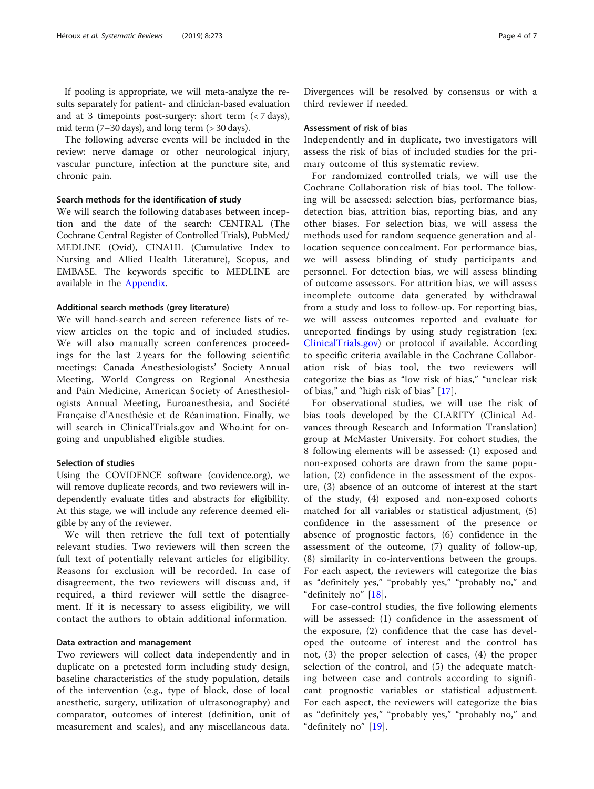If pooling is appropriate, we will meta-analyze the results separately for patient- and clinician-based evaluation and at 3 timepoints post-surgery: short term  $\left( < 7 \text{ days} \right)$ , mid term  $(7-30 \text{ days})$ , and long term  $(> 30 \text{ days})$ .

The following adverse events will be included in the review: nerve damage or other neurological injury, vascular puncture, infection at the puncture site, and chronic pain.

# Search methods for the identification of study

We will search the following databases between inception and the date of the search: CENTRAL (The Cochrane Central Register of Controlled Trials), PubMed/ MEDLINE (Ovid), CINAHL (Cumulative Index to Nursing and Allied Health Literature), Scopus, and EMBASE. The keywords specific to MEDLINE are available in the Appendix.

# Additional search methods (grey literature)

We will hand-search and screen reference lists of review articles on the topic and of included studies. We will also manually screen conferences proceedings for the last 2 years for the following scientific meetings: Canada Anesthesiologists' Society Annual Meeting, World Congress on Regional Anesthesia and Pain Medicine, American Society of Anesthesiologists Annual Meeting, Euroanesthesia, and Société Française d'Anesthésie et de Réanimation. Finally, we will search in ClinicalTrials.gov and Who.int for ongoing and unpublished eligible studies.

# Selection of studies

Using the COVIDENCE software (covidence.org), we will remove duplicate records, and two reviewers will independently evaluate titles and abstracts for eligibility. At this stage, we will include any reference deemed eligible by any of the reviewer.

We will then retrieve the full text of potentially relevant studies. Two reviewers will then screen the full text of potentially relevant articles for eligibility. Reasons for exclusion will be recorded. In case of disagreement, the two reviewers will discuss and, if required, a third reviewer will settle the disagreement. If it is necessary to assess eligibility, we will contact the authors to obtain additional information.

# Data extraction and management

Two reviewers will collect data independently and in duplicate on a pretested form including study design, baseline characteristics of the study population, details of the intervention (e.g., type of block, dose of local anesthetic, surgery, utilization of ultrasonography) and comparator, outcomes of interest (definition, unit of measurement and scales), and any miscellaneous data.

Divergences will be resolved by consensus or with a third reviewer if needed.

#### Assessment of risk of bias

Independently and in duplicate, two investigators will assess the risk of bias of included studies for the primary outcome of this systematic review.

For randomized controlled trials, we will use the Cochrane Collaboration risk of bias tool. The following will be assessed: selection bias, performance bias, detection bias, attrition bias, reporting bias, and any other biases. For selection bias, we will assess the methods used for random sequence generation and allocation sequence concealment. For performance bias, we will assess blinding of study participants and personnel. For detection bias, we will assess blinding of outcome assessors. For attrition bias, we will assess incomplete outcome data generated by withdrawal from a study and loss to follow-up. For reporting bias, we will assess outcomes reported and evaluate for unreported findings by using study registration (ex: [ClinicalTrials.gov](http://clinicaltrials.gov)) or protocol if available. According to specific criteria available in the Cochrane Collaboration risk of bias tool, the two reviewers will categorize the bias as "low risk of bias," "unclear risk of bias," and "high risk of bias" [[17](#page-6-0)].

For observational studies, we will use the risk of bias tools developed by the CLARITY (Clinical Advances through Research and Information Translation) group at McMaster University. For cohort studies, the 8 following elements will be assessed: (1) exposed and non-exposed cohorts are drawn from the same population, (2) confidence in the assessment of the exposure, (3) absence of an outcome of interest at the start of the study, (4) exposed and non-exposed cohorts matched for all variables or statistical adjustment, (5) confidence in the assessment of the presence or absence of prognostic factors, (6) confidence in the assessment of the outcome, (7) quality of follow-up, (8) similarity in co-interventions between the groups. For each aspect, the reviewers will categorize the bias as "definitely yes," "probably yes," "probably no," and "definitely no" [\[18](#page-6-0)].

For case-control studies, the five following elements will be assessed: (1) confidence in the assessment of the exposure, (2) confidence that the case has developed the outcome of interest and the control has not, (3) the proper selection of cases, (4) the proper selection of the control, and (5) the adequate matching between case and controls according to significant prognostic variables or statistical adjustment. For each aspect, the reviewers will categorize the bias as "definitely yes," "probably yes," "probably no," and "definitely no" [\[19](#page-6-0)].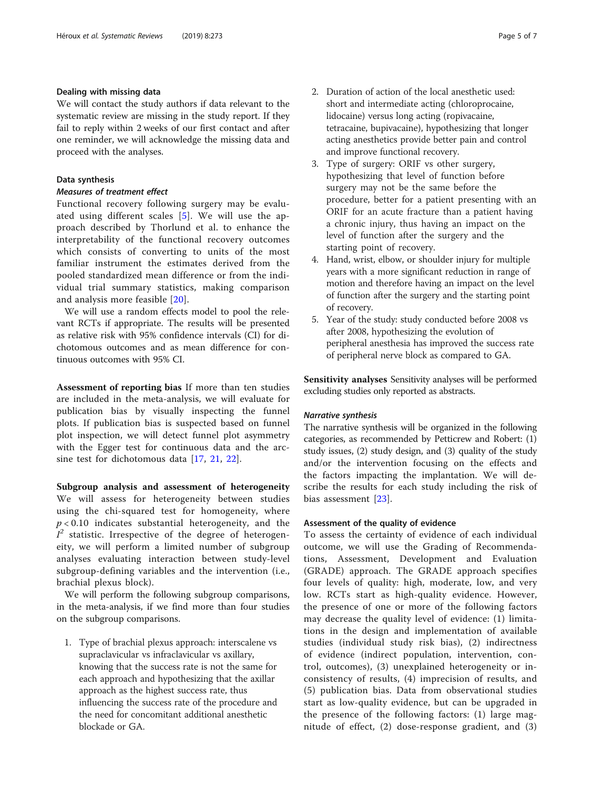# Dealing with missing data

We will contact the study authors if data relevant to the systematic review are missing in the study report. If they fail to reply within 2 weeks of our first contact and after one reminder, we will acknowledge the missing data and proceed with the analyses.

# Data synthesis

# Measures of treatment effect

Functional recovery following surgery may be evaluated using different scales [\[5\]](#page-6-0). We will use the approach described by Thorlund et al. to enhance the interpretability of the functional recovery outcomes which consists of converting to units of the most familiar instrument the estimates derived from the pooled standardized mean difference or from the individual trial summary statistics, making comparison and analysis more feasible [[20](#page-6-0)].

We will use a random effects model to pool the relevant RCTs if appropriate. The results will be presented as relative risk with 95% confidence intervals (CI) for dichotomous outcomes and as mean difference for continuous outcomes with 95% CI.

Assessment of reporting bias If more than ten studies are included in the meta-analysis, we will evaluate for publication bias by visually inspecting the funnel plots. If publication bias is suspected based on funnel plot inspection, we will detect funnel plot asymmetry with the Egger test for continuous data and the arcsine test for dichotomous data [[17,](#page-6-0) [21,](#page-6-0) [22\]](#page-6-0).

Subgroup analysis and assessment of heterogeneity We will assess for heterogeneity between studies using the chi-squared test for homogeneity, where  $p < 0.10$  indicates substantial heterogeneity, and the  $I^2$  statistic. Irrespective of the degree of heterogeneity, we will perform a limited number of subgroup analyses evaluating interaction between study-level subgroup-defining variables and the intervention (i.e., brachial plexus block).

We will perform the following subgroup comparisons, in the meta-analysis, if we find more than four studies on the subgroup comparisons.

1. Type of brachial plexus approach: interscalene vs supraclavicular vs infraclavicular vs axillary, knowing that the success rate is not the same for each approach and hypothesizing that the axillar approach as the highest success rate, thus influencing the success rate of the procedure and the need for concomitant additional anesthetic blockade or GA.

- 2. Duration of action of the local anesthetic used: short and intermediate acting (chloroprocaine, lidocaine) versus long acting (ropivacaine, tetracaine, bupivacaine), hypothesizing that longer acting anesthetics provide better pain and control and improve functional recovery.
- 3. Type of surgery: ORIF vs other surgery, hypothesizing that level of function before surgery may not be the same before the procedure, better for a patient presenting with an ORIF for an acute fracture than a patient having a chronic injury, thus having an impact on the level of function after the surgery and the starting point of recovery.
- 4. Hand, wrist, elbow, or shoulder injury for multiple years with a more significant reduction in range of motion and therefore having an impact on the level of function after the surgery and the starting point of recovery.
- 5. Year of the study: study conducted before 2008 vs after 2008, hypothesizing the evolution of peripheral anesthesia has improved the success rate of peripheral nerve block as compared to GA.

Sensitivity analyses Sensitivity analyses will be performed excluding studies only reported as abstracts.

# Narrative synthesis

The narrative synthesis will be organized in the following categories, as recommended by Petticrew and Robert: (1) study issues, (2) study design, and (3) quality of the study and/or the intervention focusing on the effects and the factors impacting the implantation. We will describe the results for each study including the risk of bias assessment [[23](#page-6-0)].

# Assessment of the quality of evidence

To assess the certainty of evidence of each individual outcome, we will use the Grading of Recommendations, Assessment, Development and Evaluation (GRADE) approach. The GRADE approach specifies four levels of quality: high, moderate, low, and very low. RCTs start as high-quality evidence. However, the presence of one or more of the following factors may decrease the quality level of evidence: (1) limitations in the design and implementation of available studies (individual study risk bias), (2) indirectness of evidence (indirect population, intervention, control, outcomes), (3) unexplained heterogeneity or inconsistency of results, (4) imprecision of results, and (5) publication bias. Data from observational studies start as low-quality evidence, but can be upgraded in the presence of the following factors: (1) large magnitude of effect, (2) dose-response gradient, and (3)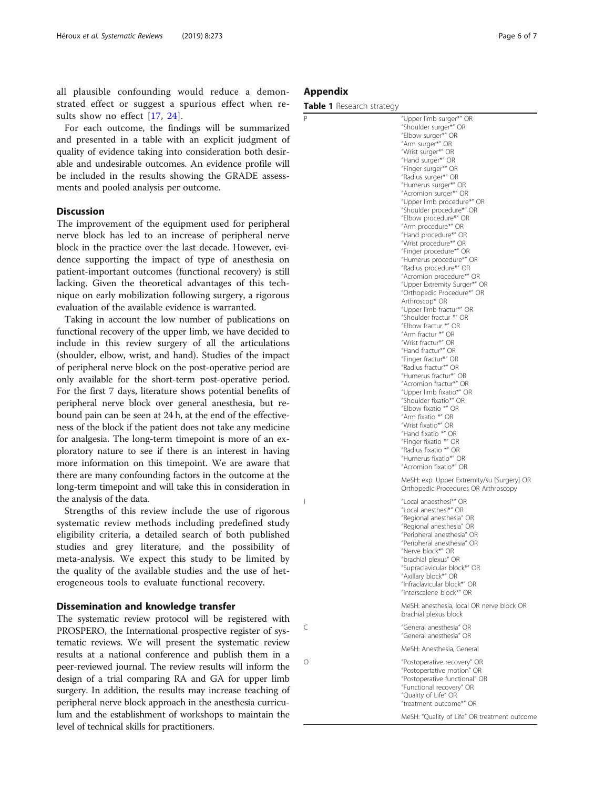all plausible confounding would reduce a demonstrated effect or suggest a spurious effect when re-sults show no effect [\[17](#page-6-0), [24\]](#page-6-0).

For each outcome, the findings will be summarized and presented in a table with an explicit judgment of quality of evidence taking into consideration both desirable and undesirable outcomes. An evidence profile will be included in the results showing the GRADE assessments and pooled analysis per outcome.

# **Discussion**

The improvement of the equipment used for peripheral nerve block has led to an increase of peripheral nerve block in the practice over the last decade. However, evidence supporting the impact of type of anesthesia on patient-important outcomes (functional recovery) is still lacking. Given the theoretical advantages of this technique on early mobilization following surgery, a rigorous evaluation of the available evidence is warranted.

Taking in account the low number of publications on functional recovery of the upper limb, we have decided to include in this review surgery of all the articulations (shoulder, elbow, wrist, and hand). Studies of the impact of peripheral nerve block on the post-operative period are only available for the short-term post-operative period. For the first 7 days, literature shows potential benefits of peripheral nerve block over general anesthesia, but rebound pain can be seen at 24 h, at the end of the effectiveness of the block if the patient does not take any medicine for analgesia. The long-term timepoint is more of an exploratory nature to see if there is an interest in having more information on this timepoint. We are aware that there are many confounding factors in the outcome at the long-term timepoint and will take this in consideration in the analysis of the data.

Strengths of this review include the use of rigorous systematic review methods including predefined study eligibility criteria, a detailed search of both published studies and grey literature, and the possibility of meta-analysis. We expect this study to be limited by the quality of the available studies and the use of heterogeneous tools to evaluate functional recovery.

# Dissemination and knowledge transfer

The systematic review protocol will be registered with PROSPERO, the International prospective register of systematic reviews. We will present the systematic review results at a national conference and publish them in a peer-reviewed journal. The review results will inform the design of a trial comparing RA and GA for upper limb surgery. In addition, the results may increase teaching of peripheral nerve block approach in the anesthesia curriculum and the establishment of workshops to maintain the level of technical skills for practitioners.

# Appendix

Table 1 Research strategy

|   | <b>Table I</b> Research strategy |                                                                                                                                                                                                                                                                                                                                    |
|---|----------------------------------|------------------------------------------------------------------------------------------------------------------------------------------------------------------------------------------------------------------------------------------------------------------------------------------------------------------------------------|
| P |                                  | "Upper limb surger*" OR<br>"Shoulder surger*" OR<br>"Elbow surger*" OR<br>"Arm surger*" OR<br>"Wrist surger*" OR                                                                                                                                                                                                                   |
|   |                                  | "Hand surger*" OR<br>"Finger surger*" OR<br>"Radius surger*" OR                                                                                                                                                                                                                                                                    |
|   |                                  | "Humerus surger*" OR<br>"Acromion surger*" OR<br>"Upper limb procedure*" OR                                                                                                                                                                                                                                                        |
|   |                                  | "Shoulder procedure*" OR<br>"Elbow procedure*" OR<br>"Arm procedure*" OR                                                                                                                                                                                                                                                           |
|   |                                  | "Hand procedure*" OR<br>"Wrist procedure*" OR                                                                                                                                                                                                                                                                                      |
|   |                                  | "Finger procedure*" OR<br>"Humerus procedure*" OR<br>"Radius procedure*" OR                                                                                                                                                                                                                                                        |
|   |                                  | "Acromion procedure*" OR<br>"Upper Extremity Surger*" OR<br>"Orthopedic Procedure*" OR                                                                                                                                                                                                                                             |
|   |                                  | Arthroscop* OR<br>"Upper limb fractur*" OR<br>"Shoulder fractur *" OR                                                                                                                                                                                                                                                              |
|   |                                  | "Elbow fractur *" OR<br>"Arm fractur *" OR<br>"Wrist fractur*" OR                                                                                                                                                                                                                                                                  |
|   |                                  | "Hand fractur*" OR<br>"Finger fractur*" OR<br>"Radius fractur*" OR<br>"Humerus fractur*" OR                                                                                                                                                                                                                                        |
|   |                                  | "Acromion fractur*" OR<br>"Upper limb fixatio*" OR<br>"Shoulder fixatio*" OR<br>"Elbow fixatio *" OR                                                                                                                                                                                                                               |
|   |                                  | "Arm fixatio *" OR<br>"Wrist fixatio*" OR<br>"Hand fixatio *" OR<br>"Finger fixatio *" OR<br>"Radius fixatio *" OR<br>"Humerus fixatio*" OR<br>"Acromion fixatio*" OR                                                                                                                                                              |
|   |                                  | MeSH: exp. Upper Extremity/su [Surgery] OR<br>Orthopedic Procedures OR Arthroscopy                                                                                                                                                                                                                                                 |
| I |                                  | "Local anaesthesi*" OR<br>"Local anesthesi*" OR<br>"Regional anesthesia" OR<br>"Regional anesthesia" OR<br>"Peripheral anesthesia" OR<br>"Peripheral anesthesia" OR<br>"Nerve block*" OR<br>"brachial plexus" OR<br>"Supraclavicular block*" OR<br>"Axillary block*" OR<br>"Infraclavicular block*" OR<br>"interscalene block*" OR |
|   |                                  | MeSH: anesthesia, local OR nerve block OR<br>brachial plexus block                                                                                                                                                                                                                                                                 |
| C |                                  | "General anesthesia" OR<br>"General anesthesia" OR                                                                                                                                                                                                                                                                                 |
|   |                                  | MeSH: Anesthesia, General                                                                                                                                                                                                                                                                                                          |
| Ο |                                  | "Postoperative recovery" OR<br>"Postopertative motion" OR<br>"Postoperative functional" OR<br>"Functional recovery" OR<br>"Quality of Life" OR<br>"treatment outcome*" OR                                                                                                                                                          |
|   |                                  | MeSH: "Quality of Life" OR treatment outcome                                                                                                                                                                                                                                                                                       |